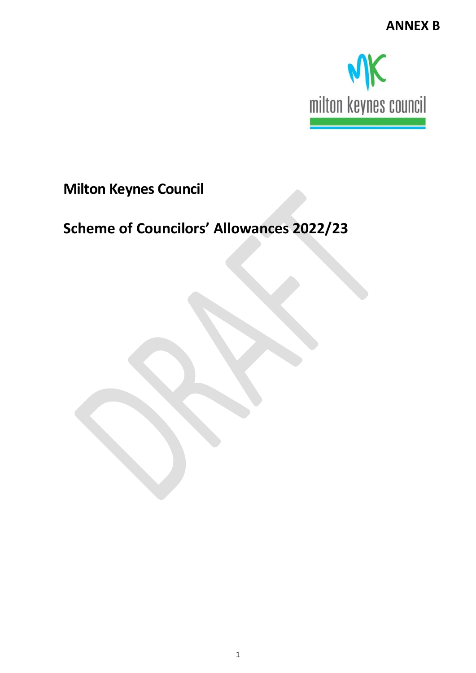

## **Milton Keynes Council**

# **Scheme of Councilors' Allowances 2022/23**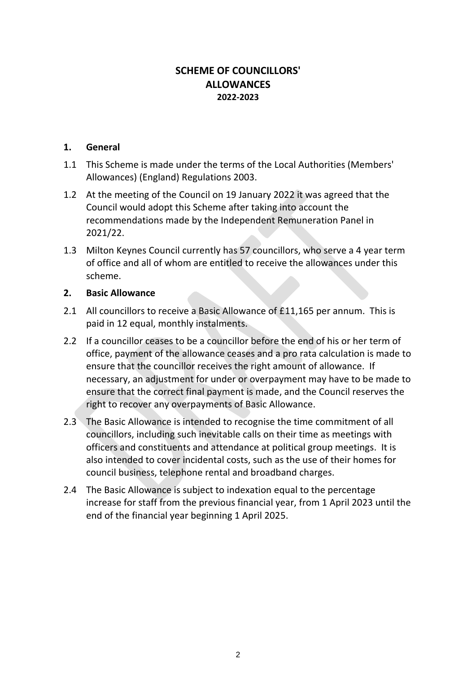#### **SCHEME OF COUNCILLORS' ALLOWANCES 2022-2023**

#### **1. General**

- 1.1 This Scheme is made under the terms of the Local Authorities (Members' Allowances) (England) Regulations 2003.
- 1.2 At the meeting of the Council on 19 January 2022 it was agreed that the Council would adopt this Scheme after taking into account the recommendations made by the Independent Remuneration Panel in 2021/22.
- 1.3 Milton Keynes Council currently has 57 councillors, who serve a 4 year term of office and all of whom are entitled to receive the allowances under this scheme.

#### **2. Basic Allowance**

- 2.1 All councillors to receive a Basic Allowance of £11,165 per annum. This is paid in 12 equal, monthly instalments.
- 2.2 If a councillor ceases to be a councillor before the end of his or her term of office, payment of the allowance ceases and a pro rata calculation is made to ensure that the councillor receives the right amount of allowance. If necessary, an adjustment for under or overpayment may have to be made to ensure that the correct final payment is made, and the Council reserves the right to recover any overpayments of Basic Allowance.
- 2.3 The Basic Allowance is intended to recognise the time commitment of all councillors, including such inevitable calls on their time as meetings with officers and constituents and attendance at political group meetings. It is also intended to cover incidental costs, such as the use of their homes for council business, telephone rental and broadband charges.
- 2.4 The Basic Allowance is subject to indexation equal to the percentage increase for staff from the previous financial year, from 1 April 2023 until the end of the financial year beginning 1 April 2025.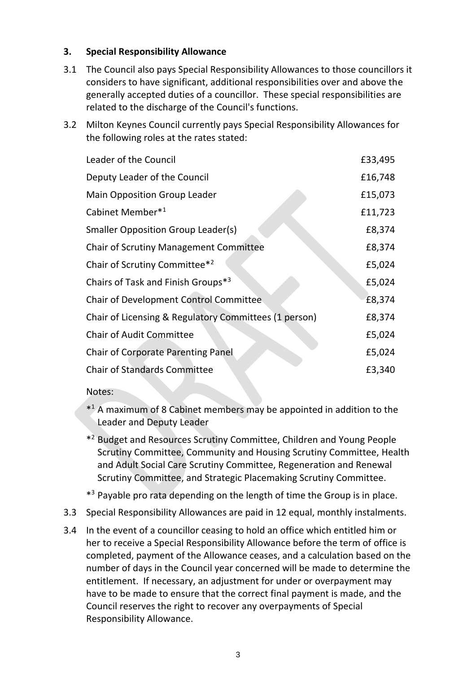#### **3. Special Responsibility Allowance**

- 3.1 The Council also pays Special Responsibility Allowances to those councillors it considers to have significant, additional responsibilities over and above the generally accepted duties of a councillor. These special responsibilities are related to the discharge of the Council's functions.
- 3.2 Milton Keynes Council currently pays Special Responsibility Allowances for the following roles at the rates stated:

| Leader of the Council                                 | £33,495 |
|-------------------------------------------------------|---------|
| Deputy Leader of the Council                          | £16,748 |
| <b>Main Opposition Group Leader</b>                   | £15,073 |
| Cabinet Member*1                                      | £11,723 |
| <b>Smaller Opposition Group Leader(s)</b>             | £8,374  |
| Chair of Scrutiny Management Committee                | £8,374  |
| Chair of Scrutiny Committee*2                         | £5,024  |
| Chairs of Task and Finish Groups* <sup>3</sup>        | £5,024  |
| Chair of Development Control Committee                | £8,374  |
| Chair of Licensing & Regulatory Committees (1 person) | £8,374  |
| <b>Chair of Audit Committee</b>                       | £5,024  |
| <b>Chair of Corporate Parenting Panel</b>             | £5,024  |
| <b>Chair of Standards Committee</b>                   | £3,340  |

#### Notes:

- \* <sup>1</sup> A maximum of 8 Cabinet members may be appointed in addition to the Leader and Deputy Leader
- \* <sup>2</sup> Budget and Resources Scrutiny Committee, Children and Young People Scrutiny Committee, Community and Housing Scrutiny Committee, Health and Adult Social Care Scrutiny Committee, Regeneration and Renewal Scrutiny Committee, and Strategic Placemaking Scrutiny Committee.
- \*<sup>3</sup> Payable pro rata depending on the length of time the Group is in place.
- 3.3 Special Responsibility Allowances are paid in 12 equal, monthly instalments.
- 3.4 In the event of a councillor ceasing to hold an office which entitled him or her to receive a Special Responsibility Allowance before the term of office is completed, payment of the Allowance ceases, and a calculation based on the number of days in the Council year concerned will be made to determine the entitlement. If necessary, an adjustment for under or overpayment may have to be made to ensure that the correct final payment is made, and the Council reserves the right to recover any overpayments of Special Responsibility Allowance.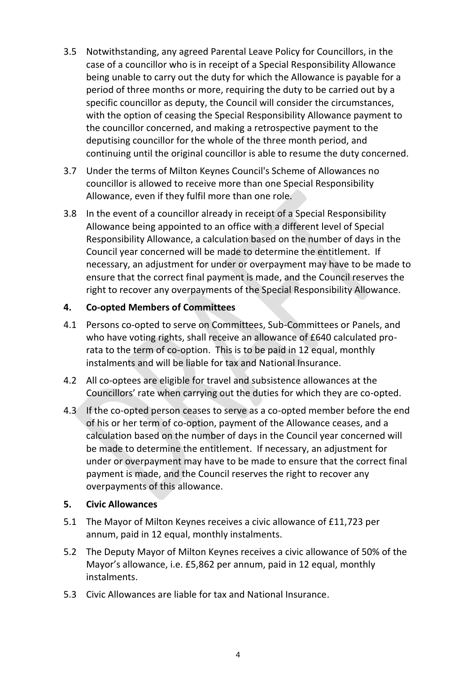- 3.5 Notwithstanding, any agreed Parental Leave Policy for Councillors, in the case of a councillor who is in receipt of a Special Responsibility Allowance being unable to carry out the duty for which the Allowance is payable for a period of three months or more, requiring the duty to be carried out by a specific councillor as deputy, the Council will consider the circumstances, with the option of ceasing the Special Responsibility Allowance payment to the councillor concerned, and making a retrospective payment to the deputising councillor for the whole of the three month period, and continuing until the original councillor is able to resume the duty concerned.
- 3.7 Under the terms of Milton Keynes Council's Scheme of Allowances no councillor is allowed to receive more than one Special Responsibility Allowance, even if they fulfil more than one role.
- 3.8 In the event of a councillor already in receipt of a Special Responsibility Allowance being appointed to an office with a different level of Special Responsibility Allowance, a calculation based on the number of days in the Council year concerned will be made to determine the entitlement. If necessary, an adjustment for under or overpayment may have to be made to ensure that the correct final payment is made, and the Council reserves the right to recover any overpayments of the Special Responsibility Allowance.

#### **4. Co-opted Members of Committees**

- 4.1 Persons co-opted to serve on Committees, Sub-Committees or Panels, and who have voting rights, shall receive an allowance of £640 calculated prorata to the term of co-option. This is to be paid in 12 equal, monthly instalments and will be liable for tax and National Insurance.
- 4.2 All co-optees are eligible for travel and subsistence allowances at the Councillors' rate when carrying out the duties for which they are co-opted.
- 4.3 If the co-opted person ceases to serve as a co-opted member before the end of his or her term of co-option, payment of the Allowance ceases, and a calculation based on the number of days in the Council year concerned will be made to determine the entitlement. If necessary, an adjustment for under or overpayment may have to be made to ensure that the correct final payment is made, and the Council reserves the right to recover any overpayments of this allowance.

#### **5. Civic Allowances**

- 5.1 The Mayor of Milton Keynes receives a civic allowance of £11,723 per annum, paid in 12 equal, monthly instalments.
- 5.2 The Deputy Mayor of Milton Keynes receives a civic allowance of 50% of the Mayor's allowance, i.e. £5,862 per annum, paid in 12 equal, monthly instalments.
- 5.3 Civic Allowances are liable for tax and National Insurance.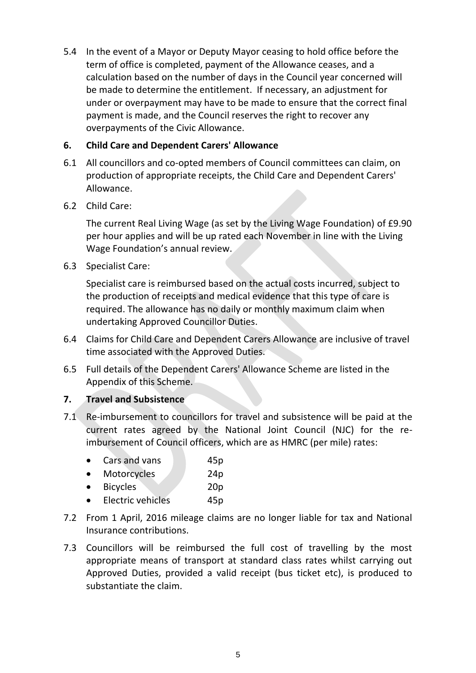5.4 In the event of a Mayor or Deputy Mayor ceasing to hold office before the term of office is completed, payment of the Allowance ceases, and a calculation based on the number of days in the Council year concerned will be made to determine the entitlement. If necessary, an adjustment for under or overpayment may have to be made to ensure that the correct final payment is made, and the Council reserves the right to recover any overpayments of the Civic Allowance.

#### **6. Child Care and Dependent Carers' Allowance**

- 6.1 All councillors and co-opted members of Council committees can claim, on production of appropriate receipts, the Child Care and Dependent Carers' Allowance.
- 6.2 Child Care:

The current Real Living Wage (as set by the Living Wage Foundation) of £9.90 per hour applies and will be up rated each November in line with the Living Wage Foundation's annual review.

6.3 Specialist Care:

Specialist care is reimbursed based on the actual costs incurred, subject to the production of receipts and medical evidence that this type of care is required. The allowance has no daily or monthly maximum claim when undertaking Approved Councillor Duties.

- 6.4 Claims for Child Care and Dependent Carers Allowance are inclusive of travel time associated with the Approved Duties.
- 6.5 Full details of the Dependent Carers' Allowance Scheme are listed in the Appendix of this Scheme.

#### **7. Travel and Subsistence**

7.1 Re-imbursement to councillors for travel and subsistence will be paid at the current rates agreed by the National Joint Council (NJC) for the reimbursement of Council officers, which are as HMRC (per mile) rates:

| $\bullet$ | Cars and vans   | 45p             |
|-----------|-----------------|-----------------|
| $\bullet$ | Motorcycles     | 24 <sub>p</sub> |
| $\bullet$ | <b>Bicycles</b> | 20 <sub>p</sub> |

- Electric vehicles **45p**
- 7.2 From 1 April, 2016 mileage claims are no longer liable for tax and National Insurance contributions.
- 7.3 Councillors will be reimbursed the full cost of travelling by the most appropriate means of transport at standard class rates whilst carrying out Approved Duties, provided a valid receipt (bus ticket etc), is produced to substantiate the claim.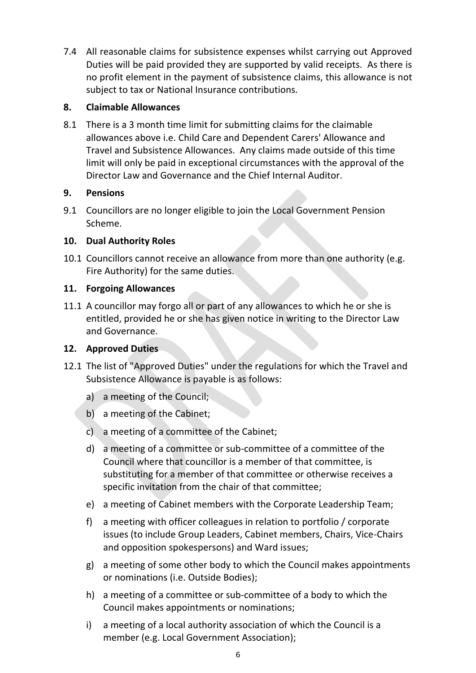7.4 All reasonable claims for subsistence expenses whilst carrying out Approved Duties will be paid provided they are supported by valid receipts. As there is no profit element in the payment of subsistence claims, this allowance is not subject to tax or National Insurance contributions.

#### **8. Claimable Allowances**

8.1 There is a 3 month time limit for submitting claims for the claimable allowances above i.e. Child Care and Dependent Carers' Allowance and Travel and Subsistence Allowances. Any claims made outside of this time limit will only be paid in exceptional circumstances with the approval of the Director Law and Governance and the Chief Internal Auditor.

#### **9. Pensions**

9.1 Councillors are no longer eligible to join the Local Government Pension Scheme.

#### **10. Dual Authority Roles**

10.1 Councillors cannot receive an allowance from more than one authority (e.g. Fire Authority) for the same duties.

#### **11. Forgoing Allowances**

11.1 A councillor may forgo all or part of any allowances to which he or she is entitled, provided he or she has given notice in writing to the Director Law and Governance.

#### **12. Approved Duties**

- 12.1 The list of "Approved Duties" under the regulations for which the Travel and Subsistence Allowance is payable is as follows:
	- a) a meeting of the Council;
	- b) a meeting of the Cabinet;
	- c) a meeting of a committee of the Cabinet;
	- d) a meeting of a committee or sub-committee of a committee of the Council where that councillor is a member of that committee, is substituting for a member of that committee or otherwise receives a specific invitation from the chair of that committee;
	- e) a meeting of Cabinet members with the Corporate Leadership Team;
	- f) a meeting with officer colleagues in relation to portfolio / corporate issues (to include Group Leaders, Cabinet members, Chairs, Vice-Chairs and opposition spokespersons) and Ward issues;
	- g) a meeting of some other body to which the Council makes appointments or nominations (i.e. Outside Bodies);
	- h) a meeting of a committee or sub-committee of a body to which the Council makes appointments or nominations;
	- i) a meeting of a local authority association of which the Council is a member (e.g. Local Government Association);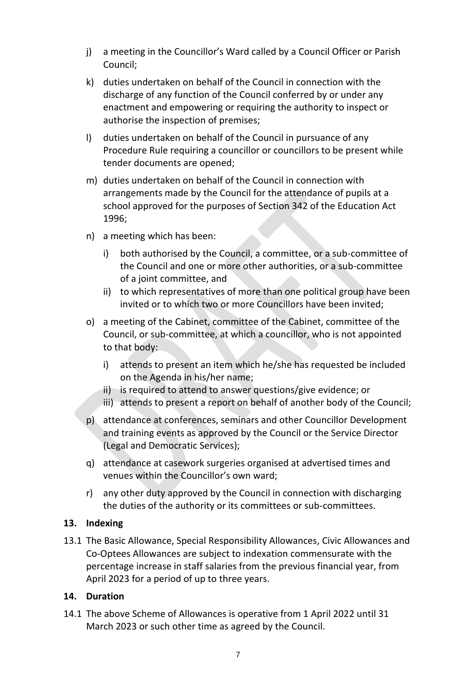- j) a meeting in the Councillor's Ward called by a Council Officer or Parish Council;
- k) duties undertaken on behalf of the Council in connection with the discharge of any function of the Council conferred by or under any enactment and empowering or requiring the authority to inspect or authorise the inspection of premises;
- l) duties undertaken on behalf of the Council in pursuance of any Procedure Rule requiring a councillor or councillors to be present while tender documents are opened;
- m) duties undertaken on behalf of the Council in connection with arrangements made by the Council for the attendance of pupils at a school approved for the purposes of Section 342 of the Education Act 1996;
- n) a meeting which has been:
	- i) both authorised by the Council, a committee, or a sub-committee of the Council and one or more other authorities, or a sub-committee of a joint committee, and
	- ii) to which representatives of more than one political group have been invited or to which two or more Councillors have been invited;
- o) a meeting of the Cabinet, committee of the Cabinet, committee of the Council, or sub-committee, at which a councillor, who is not appointed to that body:
	- i) attends to present an item which he/she has requested be included on the Agenda in his/her name;
	- ii) is required to attend to answer questions/give evidence; or
	- iii) attends to present a report on behalf of another body of the Council;
- p) attendance at conferences, seminars and other Councillor Development and training events as approved by the Council or the Service Director (Legal and Democratic Services);
- q) attendance at casework surgeries organised at advertised times and venues within the Councillor's own ward;
- r) any other duty approved by the Council in connection with discharging the duties of the authority or its committees or sub-committees.

#### **13. Indexing**

13.1 The Basic Allowance, Special Responsibility Allowances, Civic Allowances and Co-Optees Allowances are subject to indexation commensurate with the percentage increase in staff salaries from the previous financial year, from April 2023 for a period of up to three years.

#### **14. Duration**

14.1 The above Scheme of Allowances is operative from 1 April 2022 until 31 March 2023 or such other time as agreed by the Council.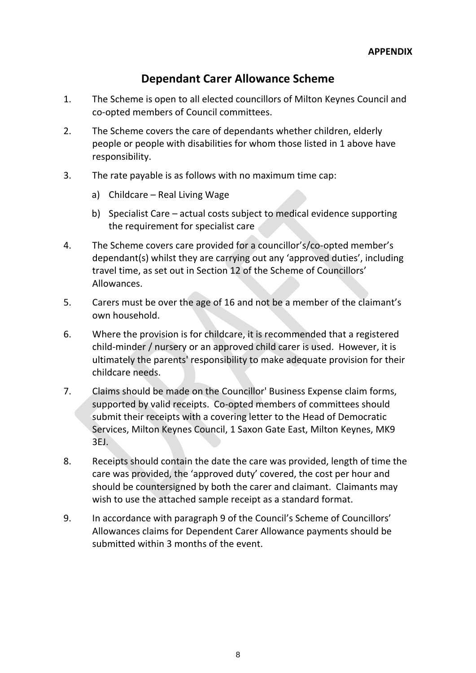### **Dependant Carer Allowance Scheme**

- 1. The Scheme is open to all elected councillors of Milton Keynes Council and co-opted members of Council committees.
- 2. The Scheme covers the care of dependants whether children, elderly people or people with disabilities for whom those listed in 1 above have responsibility.
- 3. The rate payable is as follows with no maximum time cap:
	- a) Childcare Real Living Wage
	- b) Specialist Care actual costs subject to medical evidence supporting the requirement for specialist care
- 4. The Scheme covers care provided for a councillor's/co-opted member's dependant(s) whilst they are carrying out any 'approved duties', including travel time, as set out in Section 12 of the Scheme of Councillors' Allowances.
- 5. Carers must be over the age of 16 and not be a member of the claimant's own household.
- 6. Where the provision is for childcare, it is recommended that a registered child-minder / nursery or an approved child carer is used. However, it is ultimately the parents' responsibility to make adequate provision for their childcare needs.
- 7. Claims should be made on the Councillor' Business Expense claim forms, supported by valid receipts. Co-opted members of committees should submit their receipts with a covering letter to the Head of Democratic Services, Milton Keynes Council, 1 Saxon Gate East, Milton Keynes, MK9 3EJ.
- 8. Receipts should contain the date the care was provided, length of time the care was provided, the 'approved duty' covered, the cost per hour and should be countersigned by both the carer and claimant. Claimants may wish to use the attached sample receipt as a standard format.
- 9. In accordance with paragraph 9 of the Council's Scheme of Councillors' Allowances claims for Dependent Carer Allowance payments should be submitted within 3 months of the event.